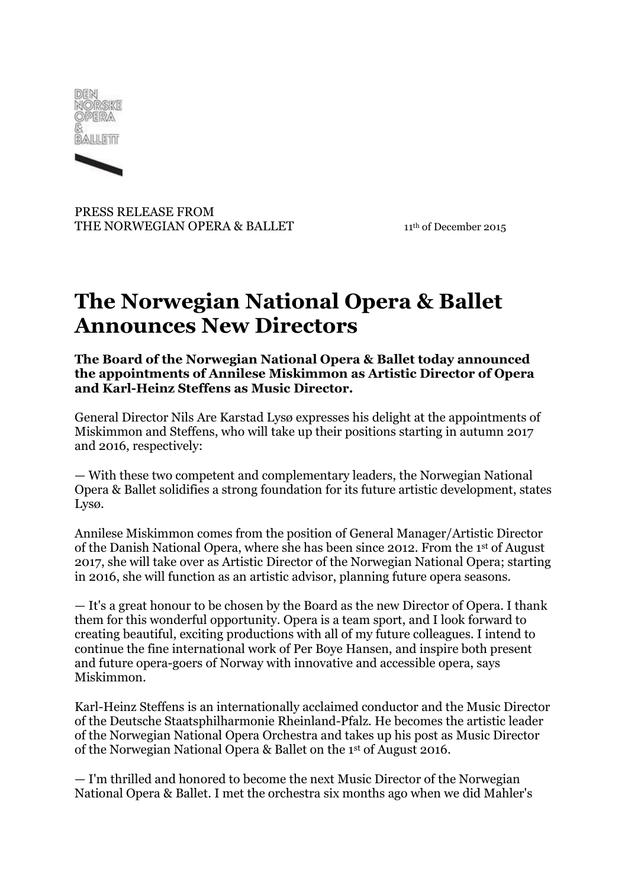



PRESS RELEASE FROM THE NORWEGIAN OPERA & BALLET 11<sup>th</sup> of December 2015

## **The Norwegian National Opera & Ballet Announces New Directors**

**The Board of the Norwegian National Opera & Ballet today announced the appointments of Annilese Miskimmon as Artistic Director of Opera and Karl-Heinz Steffens as Music Director.**

General Director Nils Are Karstad Lysø expresses his delight at the appointments of Miskimmon and Steffens, who will take up their positions starting in autumn 2017 and 2016, respectively:

— With these two competent and complementary leaders, the Norwegian National Opera & Ballet solidifies a strong foundation for its future artistic development, states Lysø.

Annilese Miskimmon comes from the position of General Manager/Artistic Director of the Danish National Opera, where she has been since 2012. From the 1st of August 2017, she will take over as Artistic Director of the Norwegian National Opera; starting in 2016, she will function as an artistic advisor, planning future opera seasons.

— It's a great honour to be chosen by the Board as the new Director of Opera. I thank them for this wonderful opportunity. Opera is a team sport, and I look forward to creating beautiful, exciting productions with all of my future colleagues. I intend to continue the fine international work of Per Boye Hansen, and inspire both present and future opera-goers of Norway with innovative and accessible opera, says Miskimmon.

Karl-Heinz Steffens is an internationally acclaimed conductor and the Music Director of the Deutsche Staatsphilharmonie Rheinland-Pfalz. He becomes the artistic leader of the Norwegian National Opera Orchestra and takes up his post as Music Director of the Norwegian National Opera & Ballet on the 1st of August 2016.

— I'm thrilled and honored to become the next Music Director of the Norwegian National Opera & Ballet. I met the orchestra six months ago when we did Mahler's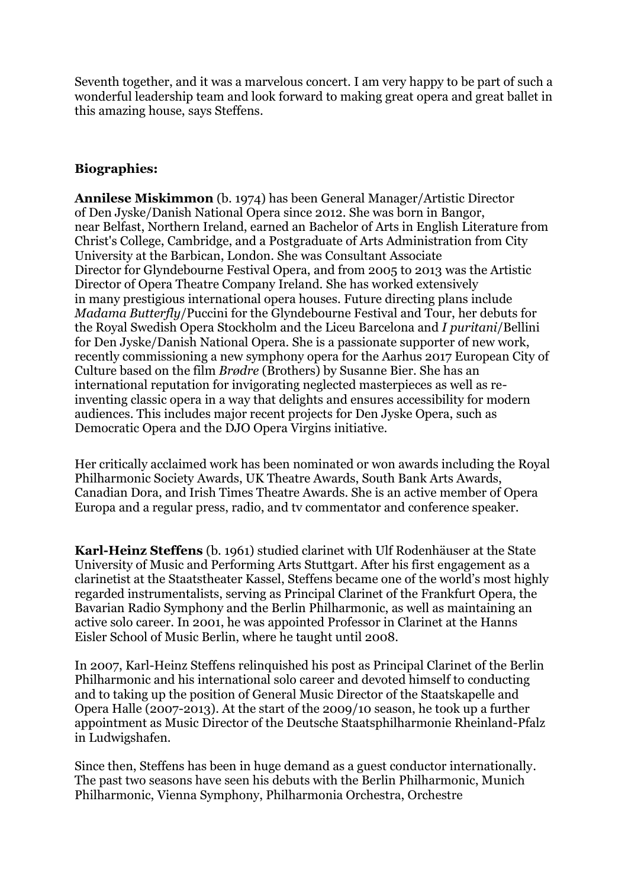Seventh together, and it was a marvelous concert. I am very happy to be part of such a wonderful leadership team and look forward to making great opera and great ballet in this amazing house, says Steffens.

## **Biographies:**

**Annilese Miskimmon** (b. 1974) has been General Manager/Artistic Director of Den Jyske/Danish National Opera since 2012. She was born in Bangor, near Belfast, Northern Ireland, earned an Bachelor of Arts in English Literature from Christ's College, Cambridge, and a Postgraduate of Arts Administration from City University at the Barbican, London. She was Consultant Associate Director for Glyndebourne Festival Opera, and from 2005 to 2013 was the Artistic Director of Opera Theatre Company Ireland. She has worked extensively in many prestigious international opera houses. Future directing plans include *Madama Butterfly*/Puccini for the Glyndebourne Festival and Tour, her debuts for the Royal Swedish Opera Stockholm and the Liceu Barcelona and *I puritani*/Bellini for Den Jyske/Danish National Opera. She is a passionate supporter of new work, recently commissioning a new symphony opera for the Aarhus 2017 European City of Culture based on the film *Brødre* (Brothers) by Susanne Bier. She has an international reputation for invigorating neglected masterpieces as well as reinventing classic opera in a way that delights and ensures accessibility for modern audiences. This includes major recent projects for Den Jyske Opera, such as Democratic Opera and the DJO Opera Virgins initiative.

Her critically acclaimed work has been nominated or won awards including the Royal Philharmonic Society Awards, UK Theatre Awards, South Bank Arts Awards, Canadian Dora, and Irish Times Theatre Awards. She is an active member of Opera Europa and a regular press, radio, and tv commentator and conference speaker.

**Karl-Heinz Steffens** (b. 1961) studied clarinet with Ulf Rodenhäuser at the State University of Music and Performing Arts Stuttgart. After his first engagement as a clarinetist at the Staatstheater Kassel, Steffens became one of the world's most highly regarded instrumentalists, serving as Principal Clarinet of the Frankfurt Opera, the Bavarian Radio Symphony and the Berlin Philharmonic, as well as maintaining an active solo career. In 2001, he was appointed Professor in Clarinet at the Hanns Eisler School of Music Berlin, where he taught until 2008.

In 2007, Karl-Heinz Steffens relinquished his post as Principal Clarinet of the Berlin Philharmonic and his international solo career and devoted himself to conducting and to taking up the position of General Music Director of the Staatskapelle and Opera Halle (2007-2013). At the start of the 2009/10 season, he took up a further appointment as Music Director of the Deutsche Staatsphilharmonie Rheinland-Pfalz in Ludwigshafen.

Since then, Steffens has been in huge demand as a guest conductor internationally. The past two seasons have seen his debuts with the Berlin Philharmonic, Munich Philharmonic, Vienna Symphony, Philharmonia Orchestra, Orchestre